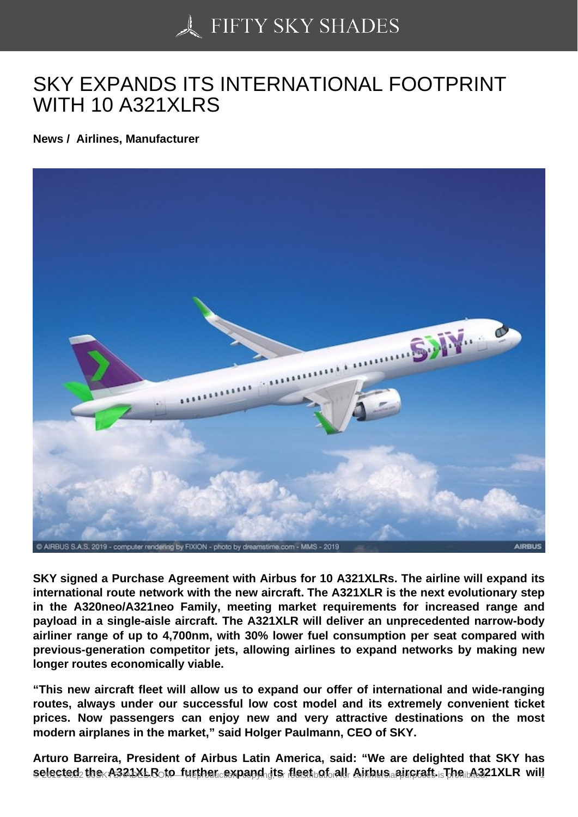## [SKY EXPANDS ITS IN](https://50skyshades.com)TERNATIONAL FOOTPRINT WITH 10 A321XLRS

News / Airlines, Manufacturer

SKY signed a Purchase Agreement with Airbus for 10 A321XLRs. The airline will expand its international route network with the new aircraft. The A321XLR is the next evolutionary step in the A320neo/A321neo Family, meeting market requirements for increased range and payload in a single-aisle aircraft. The A321XLR will deliver an unprecedented narrow-body airliner range of up to 4,700nm, with 30% lower fuel consumption per seat compared with previous-generation competitor jets, allowing airlines to expand networks by making new longer routes economically viable.

"This new aircraft fleet will allow us to expand our offer of international and wide-ranging routes, always under our successful low cost model and its extremely convenient ticket prices. Now passengers can enjoy new and very attractive destinations on the most modern airplanes in the market," said Holger Paulmann, CEO of SKY.

Arturo Barreira, President of Airbus Latin America, said: "We are delighted that SKY has  $s$ elected the A321XLR to further expand its fleet of all Airbus aircraft. The  $s$ 321XLR will  $\sim$  1